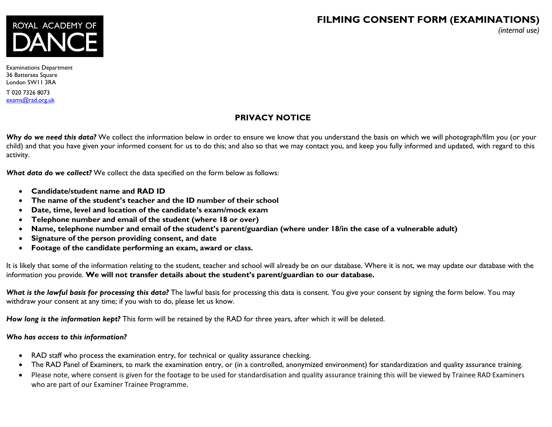# **FILMING CONSENT FORM (EXAMINATIONS)**

*(internal use)*



Examinations Department 36 Battersea Square London SW11 3RA

T 020 7326 8073 [exams@rad.org.uk](mailto:exams@rad.org.uk)

## **PRIVACY NOTICE**

Why do we need this data? We collect the information below in order to ensure we know that you understand the basis on which we will photograph/film you (or your child) and that you have given your informed consent for us to do this; and also so that we may contact you, and keep you fully informed and updated, with regard to this activity.

*What data do we collect?* We collect the data specified on the form below as follows:

- **Candidate/student name and RAD ID**
- **The name of the student's teacher and the ID number of their school**
- **Date, time, level and location of the candidate's exam/mock exam**
- **Telephone number and email of the student (where 18 or over)**
- **Name, telephone number and email of the student's parent/guardian (where under 18/in the case of a vulnerable adult)**
- **Signature of the person providing consent, and date**
- **Footage of the candidate performing an exam, award or class.**

It is likely that some of the information relating to the student, teacher and school will already be on our database. Where it is not, we may update our database with the information you provide. **We will not transfer details about the student's parent/guardian to our database.**

What is the lawful basis for processing this data? The lawful basis for processing this data is consent. You give your consent by signing the form below. You may withdraw your consent at any time; if you wish to do, please let us know.

*How long is the information kept?* This form will be retained by the RAD for three years, after which it will be deleted.

## *Who has access to this information?*

- RAD staff who process the examination entry, for technical or quality assurance checking.
- The RAD Panel of Examiners, to mark the examination entry, or (in a controlled, anonymized environment) for standardization and quality assurance training.
- Please note, where consent is given for the footage to be used for standardisation and quality assurance training this will be viewed by Trainee RAD Examiners who are part of our Examiner Trainee Programme.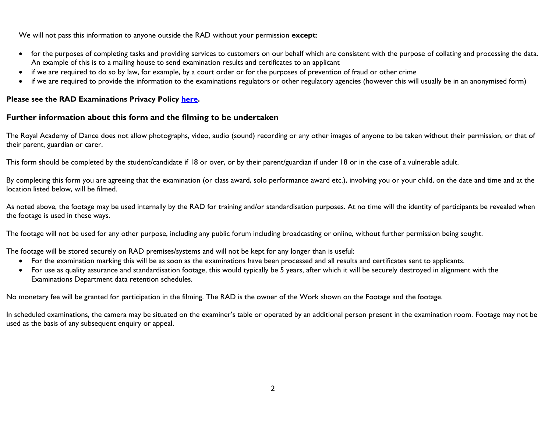We will not pass this information to anyone outside the RAD without your permission **except**:

- for the purposes of completing tasks and providing services to customers on our behalf which are consistent with the purpose of collating and processing the data. An example of this is to a mailing house to send examination results and certificates to an applicant
- if we are required to do so by law, for example, by a court order or for the purposes of prevention of fraud or other crime
- if we are required to provide the information to the examinations regulators or other regulatory agencies (however this will usually be in an anonymised form)

#### **Please see the RAD Examinations Privacy Policy [here.](https://www.royalacademyofdance.org/documents/exam-docs/RAD_examinations_privacy_policy_23_May_2018_ex.pdf)**

### **Further information about this form and the filming to be undertaken**

The Royal Academy of Dance does not allow photographs, video, audio (sound) recording or any other images of anyone to be taken without their permission, or that of their parent, guardian or carer.

This form should be completed by the student/candidate if 18 or over, or by their parent/guardian if under 18 or in the case of a vulnerable adult.

By completing this form you are agreeing that the examination (or class award, solo performance award etc.), involving you or your child, on the date and time and at the location listed below, will be filmed.

As noted above, the footage may be used internally by the RAD for training and/or standardisation purposes. At no time will the identity of participants be revealed when the footage is used in these ways.

The footage will not be used for any other purpose, including any public forum including broadcasting or online, without further permission being sought.

The footage will be stored securely on RAD premises/systems and will not be kept for any longer than is useful:

- For the examination marking this will be as soon as the examinations have been processed and all results and certificates sent to applicants.
- For use as quality assurance and standardisation footage, this would typically be 5 years, after which it will be securely destroyed in alignment with the Examinations Department data retention schedules.

No monetary fee will be granted for participation in the filming. The RAD is the owner of the Work shown on the Footage and the footage.

In scheduled examinations, the camera may be situated on the examiner's table or operated by an additional person present in the examination room. Footage may not be used as the basis of any subsequent enquiry or appeal.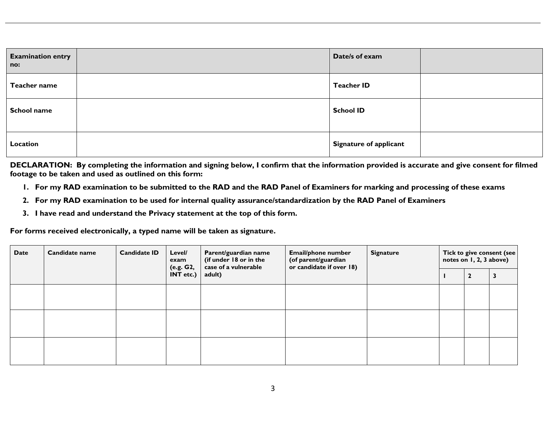| <b>Examination entry</b><br>no: | Date/s of exam                |  |
|---------------------------------|-------------------------------|--|
| Teacher name                    | <b>Teacher ID</b>             |  |
| <b>School name</b>              | <b>School ID</b>              |  |
| Location                        | <b>Signature of applicant</b> |  |

**DECLARATION: By completing the information and signing below, I confirm that the information provided is accurate and give consent for filmed footage to be taken and used as outlined on this form:**

- **1. For my RAD examination to be submitted to the RAD and the RAD Panel of Examiners for marking and processing of these exams**
- **2. For my RAD examination to be used for internal quality assurance/standardization by the RAD Panel of Examiners**
- **3. I have read and understand the Privacy statement at the top of this form.**

**For forms received electronically, a typed name will be taken as signature.**

| <b>Date</b> | Candidate name | <b>Candidate ID</b> | Level/<br>exam<br>(e.g. G2, | Parent/guardian name<br>(if under 18 or in the<br>case of a vulnerable | <b>Email/phone number</b><br>(of parent/guardian<br>or candidate if over 18) | <b>Signature</b> | Tick to give consent (see<br>notes on 1, 2, 3 above) |              |  |
|-------------|----------------|---------------------|-----------------------------|------------------------------------------------------------------------|------------------------------------------------------------------------------|------------------|------------------------------------------------------|--------------|--|
|             |                |                     | INT etc.)                   | adult)                                                                 |                                                                              |                  |                                                      | $\mathbf{2}$ |  |
|             |                |                     |                             |                                                                        |                                                                              |                  |                                                      |              |  |
|             |                |                     |                             |                                                                        |                                                                              |                  |                                                      |              |  |
|             |                |                     |                             |                                                                        |                                                                              |                  |                                                      |              |  |
|             |                |                     |                             |                                                                        |                                                                              |                  |                                                      |              |  |
|             |                |                     |                             |                                                                        |                                                                              |                  |                                                      |              |  |
|             |                |                     |                             |                                                                        |                                                                              |                  |                                                      |              |  |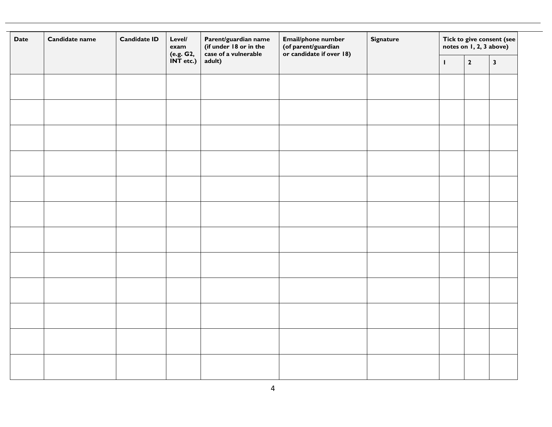| Candidate name<br><b>Date</b> |  | <b>Candidate ID</b><br>Level/<br>exam |                        | Parent/guardian name<br>(if under 18 or in the<br>case of a vulnerable | Email/phone number<br>(of parent/guardian<br>or candidate if over 18) | <b>Signature</b> | Tick to give consent (see<br>notes on 1, 2, 3 above) |              |              |
|-------------------------------|--|---------------------------------------|------------------------|------------------------------------------------------------------------|-----------------------------------------------------------------------|------------------|------------------------------------------------------|--------------|--------------|
|                               |  |                                       | (e.g. G2,<br>INT etc.) | adult)                                                                 |                                                                       |                  | $\mathbf{I}$                                         | $\mathbf{2}$ | $\mathbf{3}$ |
|                               |  |                                       |                        |                                                                        |                                                                       |                  |                                                      |              |              |
|                               |  |                                       |                        |                                                                        |                                                                       |                  |                                                      |              |              |
|                               |  |                                       |                        |                                                                        |                                                                       |                  |                                                      |              |              |
|                               |  |                                       |                        |                                                                        |                                                                       |                  |                                                      |              |              |
|                               |  |                                       |                        |                                                                        |                                                                       |                  |                                                      |              |              |
|                               |  |                                       |                        |                                                                        |                                                                       |                  |                                                      |              |              |
|                               |  |                                       |                        |                                                                        |                                                                       |                  |                                                      |              |              |
|                               |  |                                       |                        |                                                                        |                                                                       |                  |                                                      |              |              |
|                               |  |                                       |                        |                                                                        |                                                                       |                  |                                                      |              |              |
|                               |  |                                       |                        |                                                                        |                                                                       |                  |                                                      |              |              |
|                               |  |                                       |                        |                                                                        |                                                                       |                  |                                                      |              |              |
|                               |  |                                       |                        |                                                                        |                                                                       |                  |                                                      |              |              |
|                               |  |                                       |                        |                                                                        |                                                                       |                  |                                                      |              |              |
|                               |  |                                       |                        |                                                                        |                                                                       |                  |                                                      |              |              |
|                               |  |                                       |                        |                                                                        |                                                                       |                  |                                                      |              |              |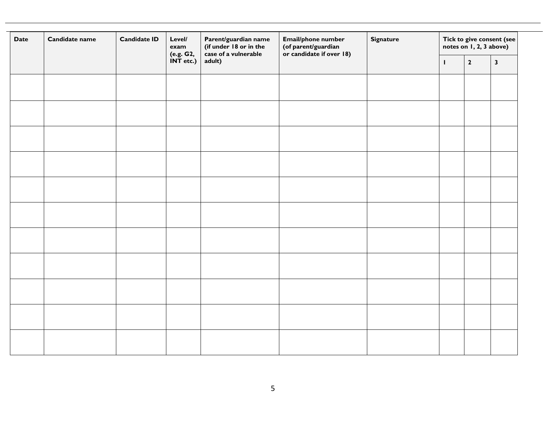| <b>Date</b> | Candidate name | <b>Candidate ID</b> | Level/<br>exam<br>(e.g. G2, | Parent/guardian name<br>(if under 18 or in the<br>case of a vulnerable | Email/phone number<br>(of parent/guardian<br>or candidate if over 18) | <b>Signature</b> | Tick to give consent (see<br>notes on 1, 2, 3 above) |              |              |
|-------------|----------------|---------------------|-----------------------------|------------------------------------------------------------------------|-----------------------------------------------------------------------|------------------|------------------------------------------------------|--------------|--------------|
|             |                |                     | $INT$ etc.)                 | adult)                                                                 |                                                                       |                  | $\mathbf{I}$                                         | $\mathbf{2}$ | $\mathbf{3}$ |
|             |                |                     |                             |                                                                        |                                                                       |                  |                                                      |              |              |
|             |                |                     |                             |                                                                        |                                                                       |                  |                                                      |              |              |
|             |                |                     |                             |                                                                        |                                                                       |                  |                                                      |              |              |
|             |                |                     |                             |                                                                        |                                                                       |                  |                                                      |              |              |
|             |                |                     |                             |                                                                        |                                                                       |                  |                                                      |              |              |
|             |                |                     |                             |                                                                        |                                                                       |                  |                                                      |              |              |
|             |                |                     |                             |                                                                        |                                                                       |                  |                                                      |              |              |
|             |                |                     |                             |                                                                        |                                                                       |                  |                                                      |              |              |
|             |                |                     |                             |                                                                        |                                                                       |                  |                                                      |              |              |
|             |                |                     |                             |                                                                        |                                                                       |                  |                                                      |              |              |
|             |                |                     |                             |                                                                        |                                                                       |                  |                                                      |              |              |